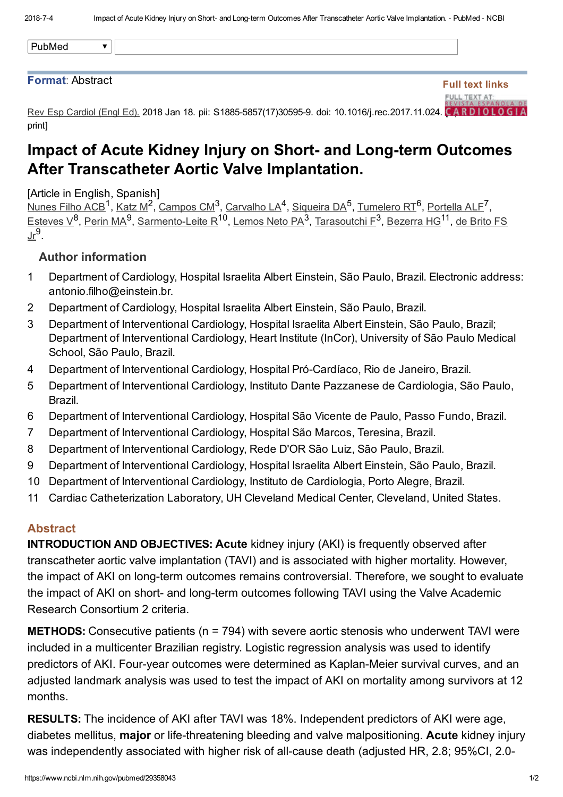Full text links

FULL TEXT AT:

## Format: Abstract

Rev Esp Cardiol (Engl Ed). 2018 Jan 18. pii: S1885-5857(17)30595-9. doi: 10.1016/j.rec.2017.11.024. CARD IOLOGIA print]

## Impact of Acute Kidney Injury on Short- and Long-term Outcomes After Transcatheter Aortic Valve Implantation.

[Article in English, Spanish]

[Nunes](https://www.ncbi.nlm.nih.gov/pubmed/?term=Nunes%20Filho%20ACB%5BAuthor%5D&cauthor=true&cauthor_uid=29358043) Filho ACB<sup>1</sup>, [Katz](https://www.ncbi.nlm.nih.gov/pubmed/?term=Katz%20M%5BAuthor%5D&cauthor=true&cauthor_uid=29358043) M<sup>2</sup>, [Campos](https://www.ncbi.nlm.nih.gov/pubmed/?term=Campos%20CM%5BAuthor%5D&cauthor=true&cauthor_uid=29358043) CM<sup>3</sup>, [Carvalho](https://www.ncbi.nlm.nih.gov/pubmed/?term=Carvalho%20LA%5BAuthor%5D&cauthor=true&cauthor_uid=29358043) LA<sup>4</sup>, [Siqueira](https://www.ncbi.nlm.nih.gov/pubmed/?term=Siqueira%20DA%5BAuthor%5D&cauthor=true&cauthor_uid=29358043) DA<sup>5</sup>, [Tumelero](https://www.ncbi.nlm.nih.gov/pubmed/?term=Tumelero%20RT%5BAuthor%5D&cauthor=true&cauthor_uid=29358043) RT<sup>6</sup>, [Portella](https://www.ncbi.nlm.nih.gov/pubmed/?term=Portella%20ALF%5BAuthor%5D&cauthor=true&cauthor_uid=29358043) ALF<sup>7</sup>, <u>[Esteves](https://www.ncbi.nlm.nih.gov/pubmed/?term=Esteves%20V%5BAuthor%5D&cauthor=true&cauthor_uid=29358043) V<sup>8</sup>, [Perin](https://www.ncbi.nlm.nih.gov/pubmed/?term=Perin%20MA%5BAuthor%5D&cauthor=true&cauthor_uid=29358043) MA<sup>9</sup>, Sarmento-Leite R<sup>10</sup>, [Lemos](https://www.ncbi.nlm.nih.gov/pubmed/?term=Lemos%20Neto%20PA%5BAuthor%5D&cauthor=true&cauthor_uid=29358043) Neto PA<sup>3</sup>, [Tarasoutchi](https://www.ncbi.nlm.nih.gov/pubmed/?term=Tarasoutchi%20F%5BAuthor%5D&cauthor=true&cauthor_uid=29358043) F<sup>3</sup>, <u>[Bezerra](https://www.ncbi.nlm.nih.gov/pubmed/?term=Bezerra%20HG%5BAuthor%5D&cauthor=true&cauthor_uid=29358043) HG</u><sup>11</sup>, de Brito FS</u> <u>Jr<sup>9</sup>.</u>

## Author information

- 1 Department of Cardiology, Hospital Israelita Albert Einstein, São Paulo, Brazil. Electronic address: antonio.filho@einstein.br.
- 2 Department of Cardiology, Hospital Israelita Albert Einstein, São Paulo, Brazil.
- 3 Department of Interventional Cardiology, Hospital Israelita Albert Einstein, São Paulo, Brazil; Department of Interventional Cardiology, Heart Institute (InCor), University of São Paulo Medical School, São Paulo, Brazil.
- 4 Department of Interventional Cardiology, Hospital Pró-Cardíaco, Rio de Janeiro, Brazil.
- 5 Department of Interventional Cardiology, Instituto Dante Pazzanese de Cardiologia, São Paulo, Brazil.
- 6 Department of Interventional Cardiology, Hospital São Vicente de Paulo, Passo Fundo, Brazil.
- 7 Department of Interventional Cardiology, Hospital São Marcos, Teresina, Brazil.
- 8 Department of Interventional Cardiology, Rede D'OR São Luiz, São Paulo, Brazil.
- 9 Department of Interventional Cardiology, Hospital Israelita Albert Einstein, São Paulo, Brazil.
- 10 Department of Interventional Cardiology, Instituto de Cardiologia, Porto Alegre, Brazil.
- 11 Cardiac Catheterization Laboratory, UH Cleveland Medical Center, Cleveland, United States.

## **Abstract**

**INTRODUCTION AND OBJECTIVES: Acute kidney injury (AKI) is frequently observed after** transcatheter aortic valve implantation (TAVI) and is associated with higher mortality. However, the impact of AKI on long-term outcomes remains controversial. Therefore, we sought to evaluate the impact of AKI on short- and long-term outcomes following TAVI using the Valve Academic Research Consortium 2 criteria.

**METHODS:** Consecutive patients (n = 794) with severe aortic stenosis who underwent TAVI were included in a multicenter Brazilian registry. Logistic regression analysis was used to identify predictors of AKI. Four-year outcomes were determined as Kaplan-Meier survival curves, and an adjusted landmark analysis was used to test the impact of AKI on mortality among survivors at 12 months.

RESULTS: The incidence of AKI after TAVI was 18%. Independent predictors of AKI were age, diabetes mellitus, major or life-threatening bleeding and valve malpositioning. Acute kidney injury was independently associated with higher risk of all-cause death (adjusted HR, 2.8; 95%CI, 2.0-